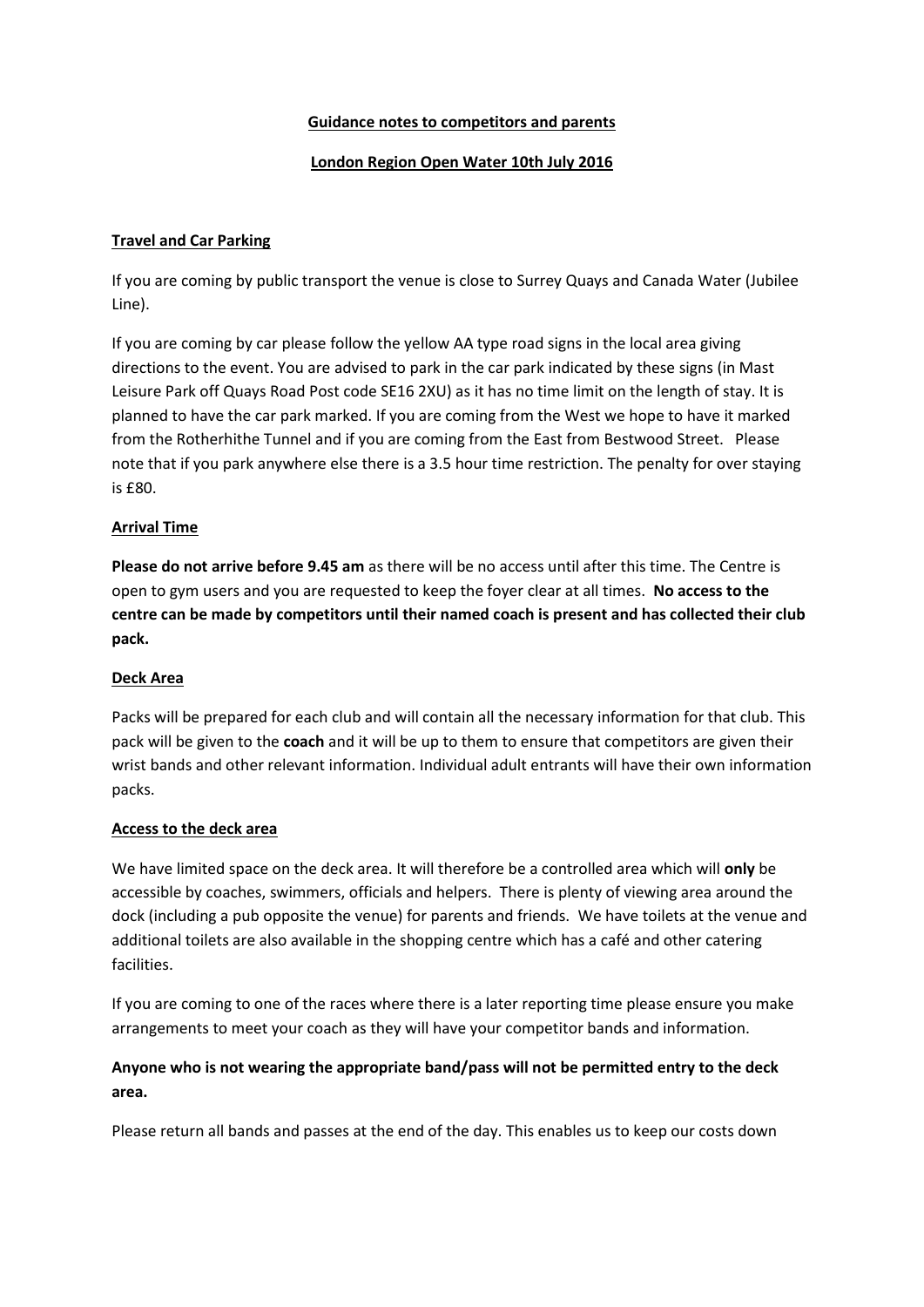### **Guidance notes to competitors and parents**

## **London Region Open Water 10th July 2016**

## **Travel and Car Parking**

If you are coming by public transport the venue is close to Surrey Quays and Canada Water (Jubilee Line).

If you are coming by car please follow the yellow AA type road signs in the local area giving directions to the event. You are advised to park in the car park indicated by these signs (in Mast Leisure Park off Quays Road Post code SE16 2XU) as it has no time limit on the length of stay. It is planned to have the car park marked. If you are coming from the West we hope to have it marked from the Rotherhithe Tunnel and if you are coming from the East from Bestwood Street. Please note that if you park anywhere else there is a 3.5 hour time restriction. The penalty for over staying is £80.

## **Arrival Time**

**Please do not arrive before 9.45 am** as there will be no access until after this time. The Centre is open to gym users and you are requested to keep the foyer clear at all times. **No access to the centre can be made by competitors until their named coach is present and has collected their club pack.**

#### **Deck Area**

Packs will be prepared for each club and will contain all the necessary information for that club. This pack will be given to the **coach** and it will be up to them to ensure that competitors are given their wrist bands and other relevant information. Individual adult entrants will have their own information packs.

#### **Access to the deck area**

We have limited space on the deck area. It will therefore be a controlled area which will **only** be accessible by coaches, swimmers, officials and helpers. There is plenty of viewing area around the dock (including a pub opposite the venue) for parents and friends. We have toilets at the venue and additional toilets are also available in the shopping centre which has a café and other catering facilities.

If you are coming to one of the races where there is a later reporting time please ensure you make arrangements to meet your coach as they will have your competitor bands and information.

# **Anyone who is not wearing the appropriate band/pass will not be permitted entry to the deck area.**

Please return all bands and passes at the end of the day. This enables us to keep our costs down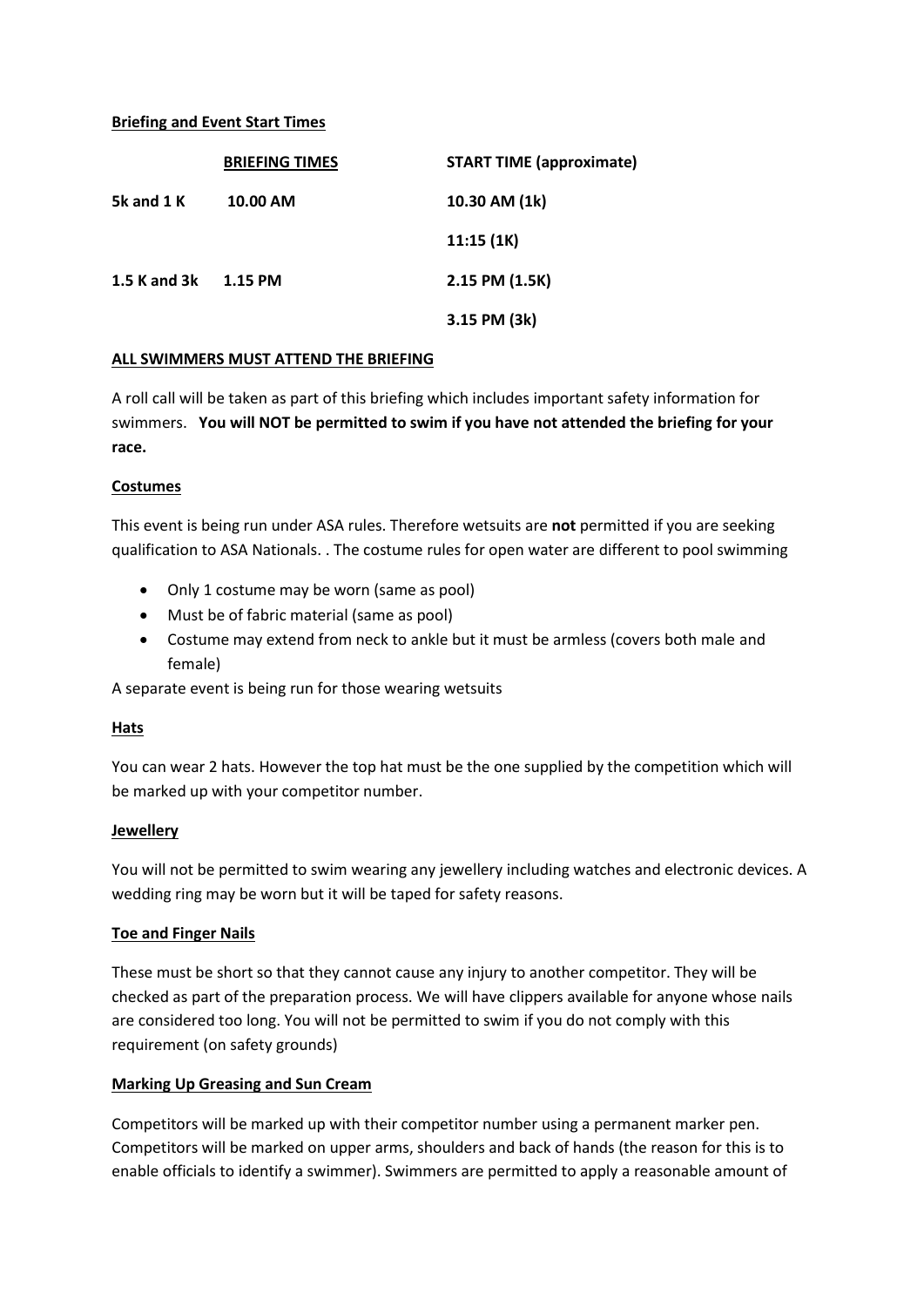### **Briefing and Event Start Times**

|              | <b>BRIEFING TIMES</b> | <b>START TIME (approximate)</b> |
|--------------|-----------------------|---------------------------------|
| 5k and 1 K   | 10.00 AM              | 10.30 AM (1k)                   |
|              |                       | 11:15(1K)                       |
| 1.5 K and 3k | 1.15 PM               | 2.15 PM (1.5K)                  |
|              |                       | 3.15 PM (3k)                    |

#### **ALL SWIMMERS MUST ATTEND THE BRIEFING**

A roll call will be taken as part of this briefing which includes important safety information for swimmers. **You will NOT be permitted to swim if you have not attended the briefing for your race.**

#### **Costumes**

This event is being run under ASA rules. Therefore wetsuits are **not** permitted if you are seeking qualification to ASA Nationals. . The costume rules for open water are different to pool swimming

- Only 1 costume may be worn (same as pool)
- Must be of fabric material (same as pool)
- Costume may extend from neck to ankle but it must be armless (covers both male and female)

A separate event is being run for those wearing wetsuits

#### **Hats**

You can wear 2 hats. However the top hat must be the one supplied by the competition which will be marked up with your competitor number.

#### **Jewellery**

You will not be permitted to swim wearing any jewellery including watches and electronic devices. A wedding ring may be worn but it will be taped for safety reasons.

#### **Toe and Finger Nails**

These must be short so that they cannot cause any injury to another competitor. They will be checked as part of the preparation process. We will have clippers available for anyone whose nails are considered too long. You will not be permitted to swim if you do not comply with this requirement (on safety grounds)

#### **Marking Up Greasing and Sun Cream**

Competitors will be marked up with their competitor number using a permanent marker pen. Competitors will be marked on upper arms, shoulders and back of hands (the reason for this is to enable officials to identify a swimmer). Swimmers are permitted to apply a reasonable amount of